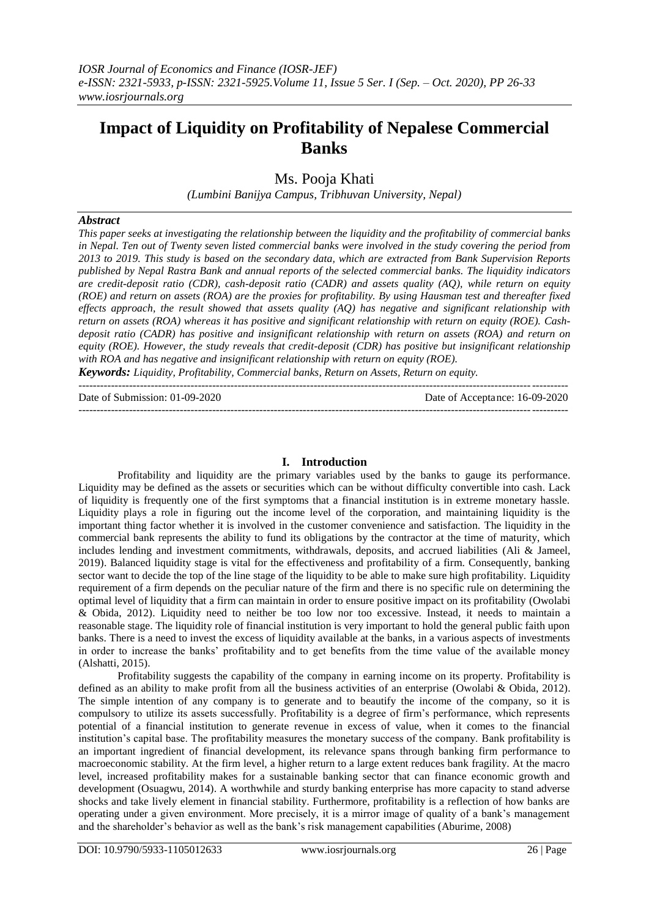# **Impact of Liquidity on Profitability of Nepalese Commercial Banks**

Ms. Pooja Khati

*(Lumbini Banijya Campus, Tribhuvan University, Nepal)*

## *Abstract*

*This paper seeks at investigating the relationship between the liquidity and the profitability of commercial banks in Nepal. Ten out of Twenty seven listed commercial banks were involved in the study covering the period from 2013 to 2019. This study is based on the secondary data, which are extracted from Bank Supervision Reports published by Nepal Rastra Bank and annual reports of the selected commercial banks. The liquidity indicators are credit-deposit ratio (CDR), cash-deposit ratio (CADR) and assets quality (AQ), while return on equity (ROE) and return on assets (ROA) are the proxies for profitability. By using Hausman test and thereafter fixed effects approach, the result showed that assets quality (AQ) has negative and significant relationship with return on assets (ROA) whereas it has positive and significant relationship with return on equity (ROE). Cashdeposit ratio (CADR) has positive and insignificant relationship with return on assets (ROA) and return on equity (ROE). However, the study reveals that credit-deposit (CDR) has positive but insignificant relationship with ROA and has negative and insignificant relationship with return on equity (ROE).*

*Keywords: Liquidity, Profitability, Commercial banks, Return on Assets, Return on equity.* ---------------------------------------------------------------------------------------------------------------------------------------

Date of Submission: 01-09-2020 Date of Acceptance: 16-09-2020 ---------------------------------------------------------------------------------------------------------------------------------------

## **I. Introduction**

Profitability and liquidity are the primary variables used by the banks to gauge its performance. Liquidity may be defined as the assets or securities which can be without difficulty convertible into cash. Lack of liquidity is frequently one of the first symptoms that a financial institution is in extreme monetary hassle. Liquidity plays a role in figuring out the income level of the corporation, and maintaining liquidity is the important thing factor whether it is involved in the customer convenience and satisfaction. The liquidity in the commercial bank represents the ability to fund its obligations by the contractor at the time of maturity, which includes lending and investment commitments, withdrawals, deposits, and accrued liabilities (Ali & Jameel, 2019). Balanced liquidity stage is vital for the effectiveness and profitability of a firm. Consequently, banking sector want to decide the top of the line stage of the liquidity to be able to make sure high profitability. Liquidity requirement of a firm depends on the peculiar nature of the firm and there is no specific rule on determining the optimal level of liquidity that a firm can maintain in order to ensure positive impact on its profitability (Owolabi & Obida, 2012). Liquidity need to neither be too low nor too excessive. Instead, it needs to maintain a reasonable stage. The liquidity role of financial institution is very important to hold the general public faith upon banks. There is a need to invest the excess of liquidity available at the banks, in a various aspects of investments in order to increase the banks" profitability and to get benefits from the time value of the available money (Alshatti, 2015).

Profitability suggests the capability of the company in earning income on its property. Profitability is defined as an ability to make profit from all the business activities of an enterprise (Owolabi & Obida, 2012). The simple intention of any company is to generate and to beautify the income of the company, so it is compulsory to utilize its assets successfully. Profitability is a degree of firm"s performance, which represents potential of a financial institution to generate revenue in excess of value, when it comes to the financial institution"s capital base. The profitability measures the monetary success of the company. Bank profitability is an important ingredient of financial development, its relevance spans through banking firm performance to macroeconomic stability. At the firm level, a higher return to a large extent reduces bank fragility. At the macro level, increased profitability makes for a sustainable banking sector that can finance economic growth and development (Osuagwu, 2014). A worthwhile and sturdy banking enterprise has more capacity to stand adverse shocks and take lively element in financial stability. Furthermore, profitability is a reflection of how banks are operating under a given environment. More precisely, it is a mirror image of quality of a bank"s management and the shareholder"s behavior as well as the bank"s risk management capabilities (Aburime, 2008)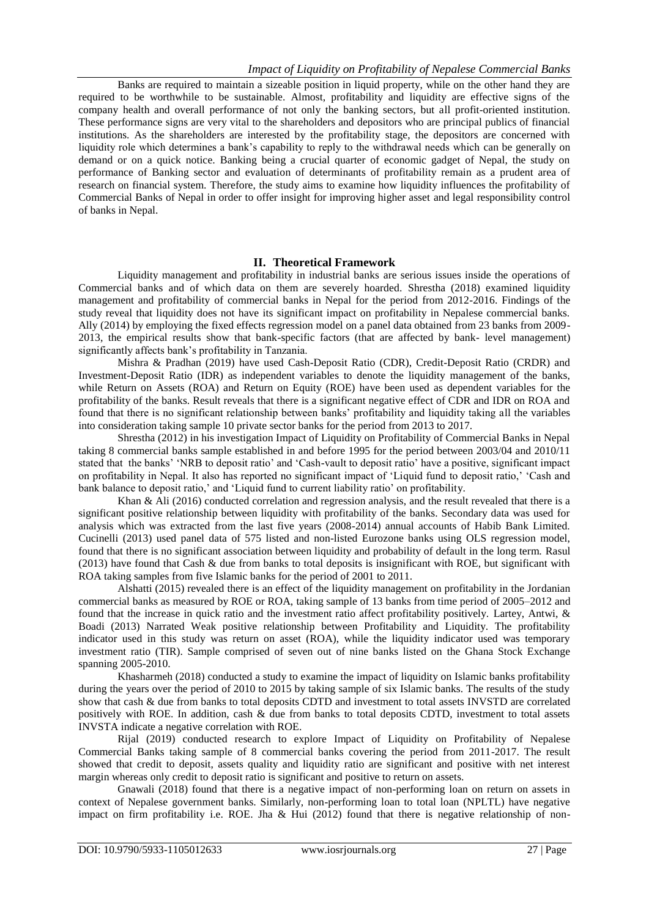Banks are required to maintain a sizeable position in liquid property, while on the other hand they are required to be worthwhile to be sustainable. Almost, profitability and liquidity are effective signs of the company health and overall performance of not only the banking sectors, but all profit-oriented institution. These performance signs are very vital to the shareholders and depositors who are principal publics of financial institutions. As the shareholders are interested by the profitability stage, the depositors are concerned with liquidity role which determines a bank's capability to reply to the withdrawal needs which can be generally on demand or on a quick notice. Banking being a crucial quarter of economic gadget of Nepal, the study on performance of Banking sector and evaluation of determinants of profitability remain as a prudent area of research on financial system. Therefore, the study aims to examine how liquidity influences the profitability of Commercial Banks of Nepal in order to offer insight for improving higher asset and legal responsibility control of banks in Nepal.

## **II. Theoretical Framework**

Liquidity management and profitability in industrial banks are serious issues inside the operations of Commercial banks and of which data on them are severely hoarded. Shrestha (2018) examined liquidity management and profitability of commercial banks in Nepal for the period from 2012-2016. Findings of the study reveal that liquidity does not have its significant impact on profitability in Nepalese commercial banks. Ally (2014) by employing the fixed effects regression model on a panel data obtained from 23 banks from 2009- 2013, the empirical results show that bank-specific factors (that are affected by bank- level management) significantly affects bank"s profitability in Tanzania.

Mishra & Pradhan (2019) have used Cash-Deposit Ratio (CDR), Credit-Deposit Ratio (CRDR) and Investment-Deposit Ratio (IDR) as independent variables to denote the liquidity management of the banks, while Return on Assets (ROA) and Return on Equity (ROE) have been used as dependent variables for the profitability of the banks. Result reveals that there is a significant negative effect of CDR and IDR on ROA and found that there is no significant relationship between banks" profitability and liquidity taking all the variables into consideration taking sample 10 private sector banks for the period from 2013 to 2017.

Shrestha (2012) in his investigation Impact of Liquidity on Profitability of Commercial Banks in Nepal taking 8 commercial banks sample established in and before 1995 for the period between 2003/04 and 2010/11 stated that the banks" "NRB to deposit ratio" and "Cash-vault to deposit ratio" have a positive, significant impact on profitability in Nepal. It also has reported no significant impact of "Liquid fund to deposit ratio," "Cash and bank balance to deposit ratio,' and 'Liquid fund to current liability ratio' on profitability.

Khan & Ali (2016) conducted correlation and regression analysis, and the result revealed that there is a significant positive relationship between liquidity with profitability of the banks. Secondary data was used for analysis which was extracted from the last five years (2008-2014) annual accounts of Habib Bank Limited. Cucinelli (2013) used panel data of 575 listed and non-listed Eurozone banks using OLS regression model, found that there is no significant association between liquidity and probability of default in the long term. Rasul (2013) have found that Cash & due from banks to total deposits is insignificant with ROE, but significant with ROA taking samples from five Islamic banks for the period of 2001 to 2011.

Alshatti (2015) revealed there is an effect of the liquidity management on profitability in the Jordanian commercial banks as measured by ROE or ROA, taking sample of 13 banks from time period of 2005–2012 and found that the increase in quick ratio and the investment ratio affect profitability positively. Lartey, Antwi, & Boadi (2013) Narrated Weak positive relationship between Profitability and Liquidity. The profitability indicator used in this study was return on asset (ROA), while the liquidity indicator used was temporary investment ratio (TIR). Sample comprised of seven out of nine banks listed on the Ghana Stock Exchange spanning 2005-2010.

Khasharmeh (2018) conducted a study to examine the impact of liquidity on Islamic banks profitability during the years over the period of 2010 to 2015 by taking sample of six Islamic banks. The results of the study show that cash & due from banks to total deposits CDTD and investment to total assets INVSTD are correlated positively with ROE. In addition, cash & due from banks to total deposits CDTD, investment to total assets INVSTA indicate a negative correlation with ROE.

Rijal (2019) conducted research to explore Impact of Liquidity on Profitability of Nepalese Commercial Banks taking sample of 8 commercial banks covering the period from 2011-2017. The result showed that credit to deposit, assets quality and liquidity ratio are significant and positive with net interest margin whereas only credit to deposit ratio is significant and positive to return on assets.

Gnawali (2018) found that there is a negative impact of non-performing loan on return on assets in context of Nepalese government banks. Similarly, non-performing loan to total loan (NPLTL) have negative impact on firm profitability i.e. ROE. Jha & Hui  $(2012)$  found that there is negative relationship of non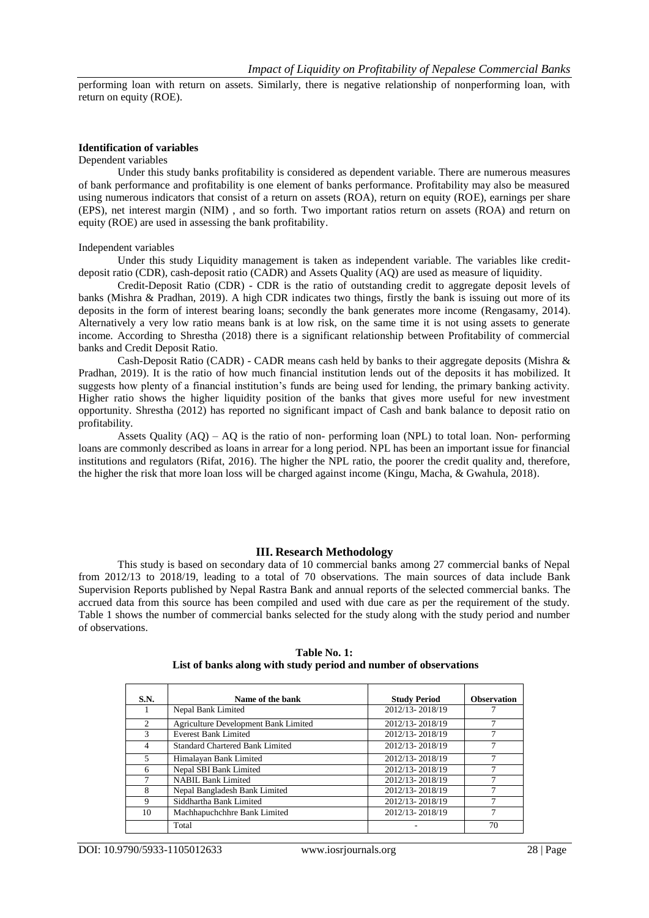performing loan with return on assets. Similarly, there is negative relationship of nonperforming loan, with return on equity (ROE).

#### **Identification of variables**

#### Dependent variables

Under this study banks profitability is considered as dependent variable. There are numerous measures of bank performance and profitability is one element of banks performance. Profitability may also be measured using numerous indicators that consist of a return on assets (ROA), return on equity (ROE), earnings per share (EPS), net interest margin (NIM) , and so forth. Two important ratios return on assets (ROA) and return on equity (ROE) are used in assessing the bank profitability.

#### Independent variables

Under this study Liquidity management is taken as independent variable. The variables like creditdeposit ratio (CDR), cash-deposit ratio (CADR) and Assets Quality (AQ) are used as measure of liquidity.

Credit-Deposit Ratio (CDR) - CDR is the ratio of outstanding credit to aggregate deposit levels of banks (Mishra & Pradhan, 2019). A high CDR indicates two things, firstly the bank is issuing out more of its deposits in the form of interest bearing loans; secondly the bank generates more income (Rengasamy, 2014). Alternatively a very low ratio means bank is at low risk, on the same time it is not using assets to generate income. According to Shrestha (2018) there is a significant relationship between Profitability of commercial banks and Credit Deposit Ratio.

Cash-Deposit Ratio (CADR) - CADR means cash held by banks to their aggregate deposits (Mishra  $\&$ Pradhan, 2019). It is the ratio of how much financial institution lends out of the deposits it has mobilized. It suggests how plenty of a financial institution"s funds are being used for lending, the primary banking activity. Higher ratio shows the higher liquidity position of the banks that gives more useful for new investment opportunity. Shrestha (2012) has reported no significant impact of Cash and bank balance to deposit ratio on profitability.

Assets Quality (AQ) – AQ is the ratio of non- performing loan (NPL) to total loan. Non- performing loans are commonly described as loans in arrear for a long period. NPL has been an important issue for financial institutions and regulators (Rifat, 2016). The higher the NPL ratio, the poorer the credit quality and, therefore, the higher the risk that more loan loss will be charged against income (Kingu, Macha, & Gwahula, 2018).

#### **III. Research Methodology**

This study is based on secondary data of 10 commercial banks among 27 commercial banks of Nepal from 2012/13 to 2018/19, leading to a total of 70 observations. The main sources of data include Bank Supervision Reports published by Nepal Rastra Bank and annual reports of the selected commercial banks. The accrued data from this source has been compiled and used with due care as per the requirement of the study. Table 1 shows the number of commercial banks selected for the study along with the study period and number of observations.

| <b>S.N.</b>   | Name of the bank                     | <b>Study Period</b> | <b>Observation</b> |
|---------------|--------------------------------------|---------------------|--------------------|
|               | Nepal Bank Limited                   | 2012/13-2018/19     |                    |
| $\mathcal{L}$ | Agriculture Development Bank Limited | 2012/13-2018/19     |                    |
| $\mathcal{R}$ | <b>Everest Bank Limited</b>          | 2012/13-2018/19     |                    |
|               | Standard Chartered Bank Limited      | 2012/13-2018/19     |                    |
| 5             | Himalayan Bank Limited               | 2012/13-2018/19     |                    |
| 6             | Nepal SBI Bank Limited               | 2012/13-2018/19     |                    |
|               | <b>NABIL Bank Limited</b>            | 2012/13-2018/19     |                    |
| 8             | Nepal Bangladesh Bank Limited        | 2012/13-2018/19     |                    |
| 9             | Siddhartha Bank Limited              | 2012/13-2018/19     |                    |
| 10            | Machhapuchchhre Bank Limited         | 2012/13-2018/19     |                    |
|               | Total                                |                     | 70                 |

## **Table No. 1: List of banks along with study period and number of observations**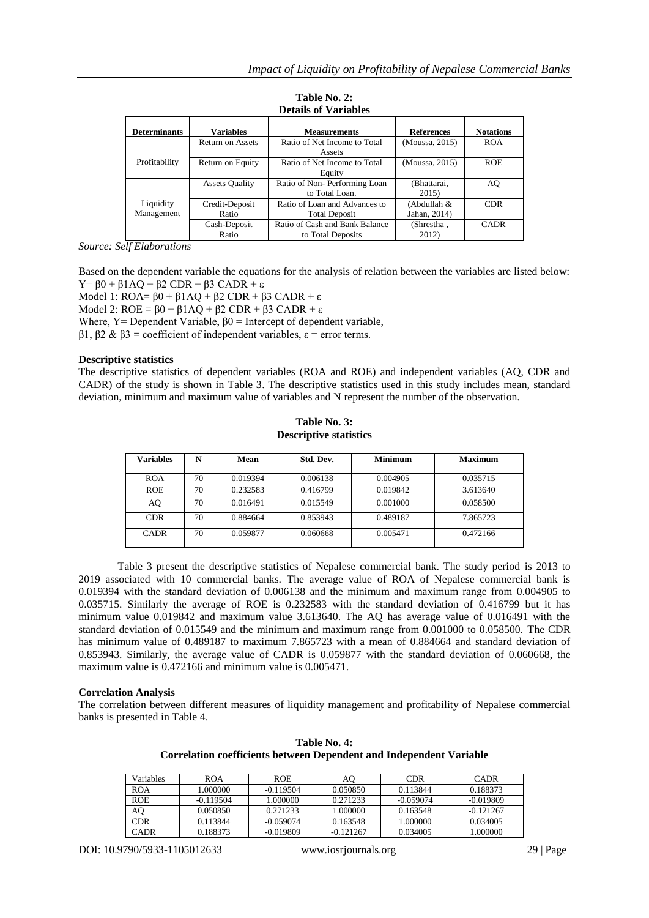|                     |                         | Details of variables           |                   |                  |
|---------------------|-------------------------|--------------------------------|-------------------|------------------|
| <b>Determinants</b> | <b>Variables</b>        | <b>Measurements</b>            | <b>References</b> | <b>Notations</b> |
|                     | <b>Return on Assets</b> | Ratio of Net Income to Total   | (Moussa, 2015)    | <b>ROA</b>       |
|                     |                         | Assets                         |                   |                  |
| Profitability       | Return on Equity        | Ratio of Net Income to Total   | (Moussa, 2015)    | <b>ROE</b>       |
|                     |                         | Equity                         |                   |                  |
|                     | <b>Assets Quality</b>   | Ratio of Non-Performing Loan   | (Bhattarai,       | AQ               |
|                     |                         | to Total Loan.                 | 2015)             |                  |
| Liquidity           | Credit-Deposit          | Ratio of Loan and Advances to  | (Abdullah &       | <b>CDR</b>       |
| Management          | Ratio                   | <b>Total Deposit</b>           | Jahan, 2014)      |                  |
|                     | Cash-Deposit            | Ratio of Cash and Bank Balance | (Shrestha,        | <b>CADR</b>      |
|                     | Ratio                   | to Total Deposits              | 2012)             |                  |

**Table No. 2: Details of Variables**

*Source: Self Elaborations*

Based on the dependent variable the equations for the analysis of relation between the variables are listed below: Y=  $β0 + β1AO + β2$  CDR +  $β3$  CADR + ε

Model 1:  $ROA = 60 + 61AO + 62$  CDR +  $63$  CADR +  $\varepsilon$ Model 2:  $ROE = \beta 0 + \beta 1 AO + \beta 2 CDR + \beta 3 CADR + \varepsilon$ Where,  $Y =$  Dependent Variable,  $\beta$ 0 = Intercept of dependent variable, β1, β2 & β3 = coefficient of independent variables, ε = error terms.

## **Descriptive statistics**

The descriptive statistics of dependent variables (ROA and ROE) and independent variables (AQ, CDR and CADR) of the study is shown in Table 3. The descriptive statistics used in this study includes mean, standard deviation, minimum and maximum value of variables and N represent the number of the observation.

**Table No. 3: Descriptive statistics**

| <b>Variables</b> | N  | Mean     | Std. Dev. | <b>Minimum</b> | <b>Maximum</b> |
|------------------|----|----------|-----------|----------------|----------------|
| <b>ROA</b>       | 70 | 0.019394 | 0.006138  | 0.004905       | 0.035715       |
| <b>ROE</b>       | 70 | 0.232583 | 0.416799  | 0.019842       | 3.613640       |
| AQ               | 70 | 0.016491 | 0.015549  | 0.001000       | 0.058500       |
| <b>CDR</b>       | 70 | 0.884664 | 0.853943  | 0.489187       | 7.865723       |
| <b>CADR</b>      | 70 | 0.059877 | 0.060668  | 0.005471       | 0.472166       |

Table 3 present the descriptive statistics of Nepalese commercial bank. The study period is 2013 to 2019 associated with 10 commercial banks. The average value of ROA of Nepalese commercial bank is 0.019394 with the standard deviation of 0.006138 and the minimum and maximum range from 0.004905 to 0.035715. Similarly the average of ROE is 0.232583 with the standard deviation of 0.416799 but it has minimum value 0.019842 and maximum value 3.613640. The AQ has average value of 0.016491 with the standard deviation of 0.015549 and the minimum and maximum range from 0.001000 to 0.058500. The CDR has minimum value of 0.489187 to maximum 7.865723 with a mean of 0.884664 and standard deviation of 0.853943. Similarly, the average value of CADR is 0.059877 with the standard deviation of 0.060668, the maximum value is 0.472166 and minimum value is 0.005471.

#### **Correlation Analysis**

The correlation between different measures of liquidity management and profitability of Nepalese commercial banks is presented in Table 4.

| Variables   | ROA         | <b>ROE</b>  | AO.         | <b>CDR</b>  | <b>CADR</b> |
|-------------|-------------|-------------|-------------|-------------|-------------|
| ROA         | 1.000000    | $-0.119504$ | 0.050850    | 0.113844    | 0.188373    |
| <b>ROE</b>  | $-0.119504$ | 1.000000    | 0.271233    | $-0.059074$ | $-0.019809$ |
| AQ          | 0.050850    | 0.271233    | 1.000000    | 0.163548    | $-0.121267$ |
| <b>CDR</b>  | 0.113844    | $-0.059074$ | 0.163548    | 1.000000    | 0.034005    |
| <b>CADR</b> | 0.188373    | $-0.019809$ | $-0.121267$ | 0.034005    | 1.000000    |

**Table No. 4: Correlation coefficients between Dependent and Independent Variable**

DOI: 10.9790/5933-1105012633 www.iosrjournals.org 29 | Page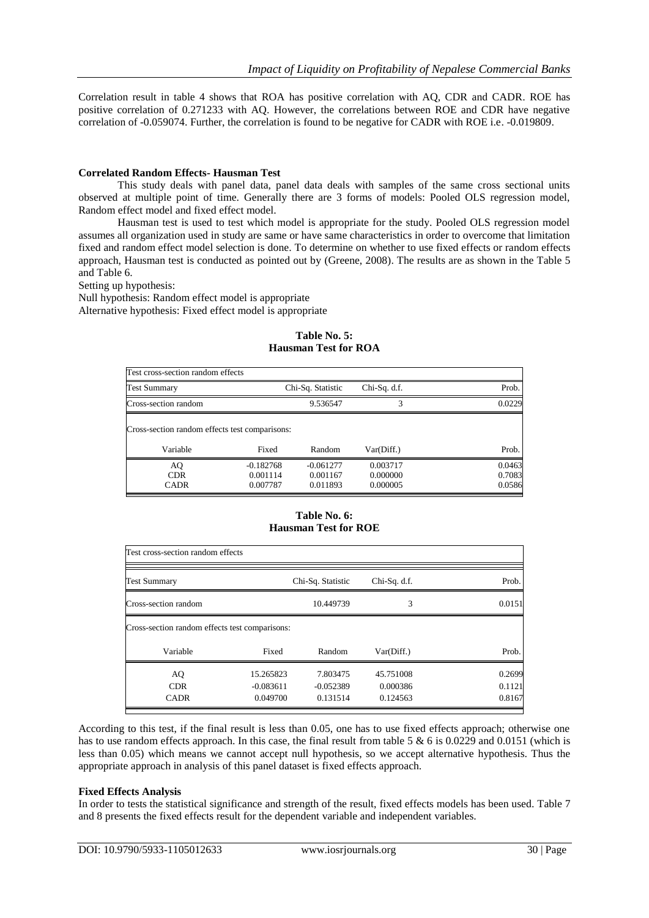Correlation result in table 4 shows that ROA has positive correlation with AQ, CDR and CADR. ROE has positive correlation of 0.271233 with AQ. However, the correlations between ROE and CDR have negative correlation of -0.059074. Further, the correlation is found to be negative for CADR with ROE i.e. -0.019809.

## **Correlated Random Effects- Hausman Test**

This study deals with panel data, panel data deals with samples of the same cross sectional units observed at multiple point of time. Generally there are 3 forms of models: Pooled OLS regression model, Random effect model and fixed effect model.

Hausman test is used to test which model is appropriate for the study. Pooled OLS regression model assumes all organization used in study are same or have same characteristics in order to overcome that limitation fixed and random effect model selection is done. To determine on whether to use fixed effects or random effects approach, Hausman test is conducted as pointed out by (Greene, 2008). The results are as shown in the Table 5 and Table 6.

Setting up hypothesis:

Null hypothesis: Random effect model is appropriate Alternative hypothesis: Fixed effect model is appropriate

| Test cross-section random effects                          |                                     |                                     |                                  |                            |
|------------------------------------------------------------|-------------------------------------|-------------------------------------|----------------------------------|----------------------------|
| Test Summary                                               |                                     | Chi-Sq. Statistic                   | $Chi-Sq. d.f.$                   | Prob.                      |
| Cross-section random                                       |                                     | 9.536547                            |                                  | 0.0229                     |
| Cross-section random effects test comparisons:<br>Variable | Fixed                               | Random                              | Var(Diff.)                       | Prob.                      |
| AQ<br><b>CDR</b><br><b>CADR</b>                            | $-0.182768$<br>0.001114<br>0.007787 | $-0.061277$<br>0.001167<br>0.011893 | 0.003717<br>0.000000<br>0.000005 | 0.0463<br>0.7083<br>0.0586 |

## **Table No. 5: Hausman Test for ROA**

# **Table No. 6: Hausman Test for ROE**

| Test cross-section random effects              |             |                   |              |        |  |  |
|------------------------------------------------|-------------|-------------------|--------------|--------|--|--|
| <b>Test Summary</b>                            |             | Chi-Sq. Statistic | Chi-Sq. d.f. | Prob.  |  |  |
| Cross-section random                           |             | 10.449739         | 3            | 0.0151 |  |  |
| Cross-section random effects test comparisons: |             |                   |              |        |  |  |
| Variable                                       | Fixed       | Random            | Var(Diff.)   | Prob.  |  |  |
| AQ                                             | 15.265823   | 7.803475          | 45.751008    | 0.2699 |  |  |
| <b>CDR</b>                                     | $-0.083611$ | $-0.052389$       | 0.000386     | 0.1121 |  |  |
| <b>CADR</b>                                    | 0.049700    | 0.131514          | 0.124563     | 0.8167 |  |  |

According to this test, if the final result is less than 0.05, one has to use fixed effects approach; otherwise one has to use random effects approach. In this case, the final result from table 5  $\&$  6 is 0.0229 and 0.0151 (which is less than 0.05) which means we cannot accept null hypothesis, so we accept alternative hypothesis. Thus the appropriate approach in analysis of this panel dataset is fixed effects approach.

## **Fixed Effects Analysis**

In order to tests the statistical significance and strength of the result, fixed effects models has been used. Table 7 and 8 presents the fixed effects result for the dependent variable and independent variables.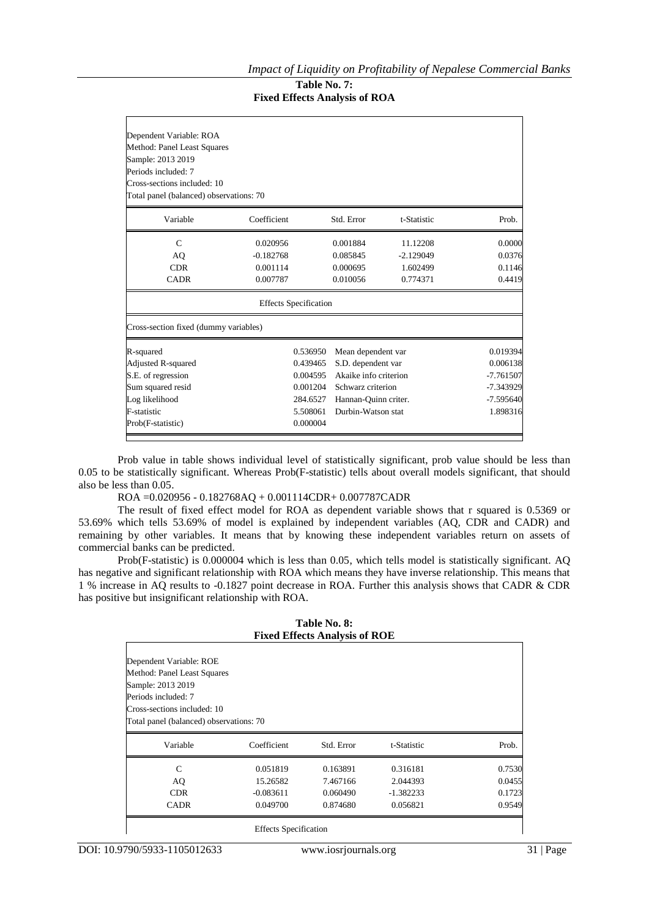# **Table No. 7: Fixed Effects Analysis of ROA**

| Dependent Variable: ROA                 |                              |                               |             |             |  |  |  |  |
|-----------------------------------------|------------------------------|-------------------------------|-------------|-------------|--|--|--|--|
| Method: Panel Least Squares             |                              |                               |             |             |  |  |  |  |
| Sample: 2013 2019                       |                              |                               |             |             |  |  |  |  |
| Periods included: 7                     |                              |                               |             |             |  |  |  |  |
| Cross-sections included: 10             |                              |                               |             |             |  |  |  |  |
| Total panel (balanced) observations: 70 |                              |                               |             |             |  |  |  |  |
| Variable                                | Coefficient                  | Std. Error                    | t-Statistic | Prob.       |  |  |  |  |
| $\mathsf{C}$                            | 0.020956                     | 0.001884                      | 11.12208    | 0.0000      |  |  |  |  |
| AQ                                      | $-0.182768$                  | 0.085845                      | $-2.129049$ | 0.0376      |  |  |  |  |
| <b>CDR</b>                              | 0.001114                     | 0.000695                      | 1.602499    | 0.1146      |  |  |  |  |
| <b>CADR</b>                             | 0.007787                     | 0.010056                      | 0.774371    | 0.4419      |  |  |  |  |
|                                         | <b>Effects Specification</b> |                               |             |             |  |  |  |  |
| Cross-section fixed (dummy variables)   |                              |                               |             |             |  |  |  |  |
| R-squared                               | 0.536950                     | Mean dependent var            |             | 0.019394    |  |  |  |  |
| Adjusted R-squared                      | 0.439465                     | S.D. dependent var            |             | 0.006138    |  |  |  |  |
| S.E. of regression                      | 0.004595                     | Akaike info criterion         |             | $-7.761507$ |  |  |  |  |
| Sum squared resid                       |                              | 0.001204<br>Schwarz criterion |             | -7.343929   |  |  |  |  |
| Log likelihood                          | 284.6527                     | Hannan-Quinn criter.          |             | $-7.595640$ |  |  |  |  |
| F-statistic                             | 5.508061                     | Durbin-Watson stat            |             | 1.898316    |  |  |  |  |
| Prob(F-statistic)                       | 0.000004                     |                               |             |             |  |  |  |  |

Prob value in table shows individual level of statistically significant, prob value should be less than 0.05 to be statistically significant. Whereas Prob(F-statistic) tells about overall models significant, that should also be less than 0.05.

ROA =0.020956 - 0.182768AQ + 0.001114CDR+ 0.007787CADR

The result of fixed effect model for ROA as dependent variable shows that r squared is 0.5369 or 53.69% which tells 53.69% of model is explained by independent variables (AQ, CDR and CADR) and remaining by other variables. It means that by knowing these independent variables return on assets of commercial banks can be predicted.

Prob(F-statistic) is 0.000004 which is less than 0.05, which tells model is statistically significant. AQ has negative and significant relationship with ROA which means they have inverse relationship. This means that 1 % increase in AQ results to -0.1827 point decrease in ROA. Further this analysis shows that CADR & CDR has positive but insignificant relationship with ROA.

| Table No. 8:<br><b>Fixed Effects Analysis of ROE</b>   |             |            |             |        |  |
|--------------------------------------------------------|-------------|------------|-------------|--------|--|
| Dependent Variable: ROE<br>Method: Panel Least Squares |             |            |             |        |  |
| Sample: 2013 2019                                      |             |            |             |        |  |
| Periods included: 7                                    |             |            |             |        |  |
| Cross-sections included: 10                            |             |            |             |        |  |
| Total panel (balanced) observations: 70                |             |            |             |        |  |
| Variable                                               | Coefficient | Std. Error | t-Statistic | Prob.  |  |
| C                                                      | 0.051819    | 0.163891   | 0.316181    | 0.7530 |  |
| AQ                                                     | 15.26582    | 7.467166   | 2.044393    | 0.0455 |  |
| <b>CDR</b>                                             | $-0.083611$ | 0.060490   | $-1.382233$ | 0.1723 |  |
| <b>CADR</b>                                            | 0.049700    | 0.874680   | 0.056821    | 0.9549 |  |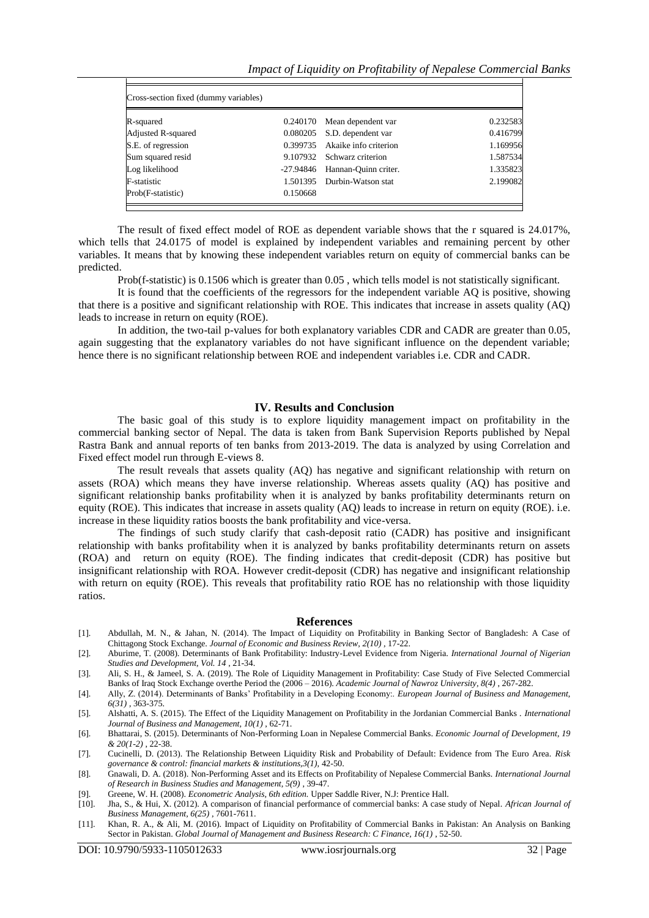| Cross-section fixed (dummy variables) |          |                                |          |
|---------------------------------------|----------|--------------------------------|----------|
| R-squared                             |          | 0.240170 Mean dependent var    | 0.232583 |
| Adjusted R-squared                    |          | 0.080205 S.D. dependent var    | 0.416799 |
| S.E. of regression                    |          | 0.399735 Akaike info criterion | 1.169956 |
| Sum squared resid                     |          | 9.107932 Schwarz criterion     | 1.587534 |
| Log likelihood                        |          | -27.94846 Hannan-Ouinn criter. | 1.335823 |
| <b>F</b> -statistic                   |          | 1.501395 Durbin-Watson stat    | 2.199082 |
| Prob(F-statistic)                     | 0.150668 |                                |          |

The result of fixed effect model of ROE as dependent variable shows that the r squared is 24.017%, which tells that 24.0175 of model is explained by independent variables and remaining percent by other variables. It means that by knowing these independent variables return on equity of commercial banks can be predicted.

Prob(f-statistic) is 0.1506 which is greater than 0.05 , which tells model is not statistically significant.

It is found that the coefficients of the regressors for the independent variable AQ is positive, showing that there is a positive and significant relationship with ROE. This indicates that increase in assets quality (AQ) leads to increase in return on equity (ROE).

In addition, the two-tail p-values for both explanatory variables CDR and CADR are greater than 0.05, again suggesting that the explanatory variables do not have significant influence on the dependent variable; hence there is no significant relationship between ROE and independent variables i.e. CDR and CADR.

#### **IV. Results and Conclusion**

The basic goal of this study is to explore liquidity management impact on profitability in the commercial banking sector of Nepal. The data is taken from Bank Supervision Reports published by Nepal Rastra Bank and annual reports of ten banks from 2013-2019. The data is analyzed by using Correlation and Fixed effect model run through E-views 8.

The result reveals that assets quality (AQ) has negative and significant relationship with return on assets (ROA) which means they have inverse relationship. Whereas assets quality (AQ) has positive and significant relationship banks profitability when it is analyzed by banks profitability determinants return on equity (ROE). This indicates that increase in assets quality (AQ) leads to increase in return on equity (ROE). i.e. increase in these liquidity ratios boosts the bank profitability and vice-versa.

The findings of such study clarify that cash-deposit ratio (CADR) has positive and insignificant relationship with banks profitability when it is analyzed by banks profitability determinants return on assets (ROA) and return on equity (ROE). The finding indicates that credit-deposit (CDR) has positive but insignificant relationship with ROA. However credit-deposit (CDR) has negative and insignificant relationship with return on equity (ROE). This reveals that profitability ratio ROE has no relationship with those liquidity ratios.

#### **References**

- [1]. Abdullah, M. N., & Jahan, N. (2014). The Impact of Liquidity on Profitability in Banking Sector of Bangladesh: A Case of Chittagong Stock Exchange. *Journal of Economic and Business Review, 2(10)* , 17-22.
- [2]. Aburime, T. (2008). Determinants of Bank Profitability: Industry-Level Evidence from Nigeria. *International Journal of Nigerian Studies and Development, Vol. 14* , 21-34.
- [3]. Ali, S. H., & Jameel, S. A. (2019). The Role of Liquidity Management in Profitability: Case Study of Five Selected Commercial Banks of Iraq Stock Exchange overthe Period the (2006 – 2016). *Academic Journal of Nawroz University, 8(4)* , 267-282.
- [4]. Ally, Z. (2014). Determinants of Banks" Profitability in a Developing Economy:. *European Journal of Business and Management, 6(31)* , 363-375.
- [5]. Alshatti, A. S. (2015). The Effect of the Liquidity Management on Profitability in the Jordanian Commercial Banks . *International Journal of Business and Management, 10(1)* , 62-71.
- [6]. Bhattarai, S. (2015). Determinants of Non-Performing Loan in Nepalese Commercial Banks. *Economic Journal of Development, 19 & 20(1-2)* , 22-38.
- [7]. Cucinelli, D. (2013). The Relationship Between Liquidity Risk and Probability of Default: Evidence from The Euro Area. *Risk governance & control: financial markets & institutions,3(1),* 42-50.
- [8]. Gnawali, D. A. (2018). Non-Performing Asset and its Effects on Profitability of Nepalese Commercial Banks. *International Journal of Research in Business Studies and Management, 5(9)* , 39-47.
- [9]. Greene, W. H. (2008). *Econometric Analysis, 6th edition.* Upper Saddle River, N.J: Prentice Hall.
- [10]. Jha, S., & Hui, X. (2012). A comparison of financial performance of commercial banks: A case study of Nepal. *African Journal of Business Management, 6(25)* , 7601-7611.
- [11]. Khan, R. A., & Ali, M. (2016). Impact of Liquidity on Profitability of Commercial Banks in Pakistan: An Analysis on Banking Sector in Pakistan. *Global Journal of Management and Business Research: C Finance, 16(1)* , 52-50.